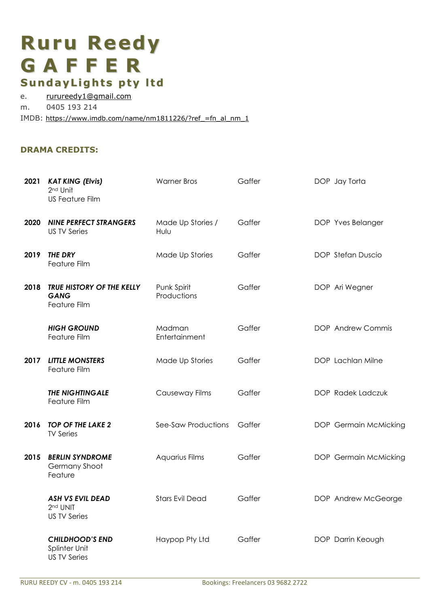# **Ruru Reedy G A F F E R SundayLights pty l td**

e. rurureedy1@gmail.com m. 0405 193 214

IMDB: https://www.imdb.com/name/nm1811226/?ref =fn\_al\_nm\_1

# **DRAMA CREDITS:**

| 2021 | <b>KAT KING (Elvis)</b><br>2 <sup>nd</sup> Unit<br><b>US Feature Film</b> | <b>Warner Bros</b>         | Gaffer | DOP Jay Torta         |
|------|---------------------------------------------------------------------------|----------------------------|--------|-----------------------|
| 2020 | <b>NINE PERFECT STRANGERS</b><br><b>US TV Series</b>                      | Made Up Stories /<br>Hulu  | Gaffer | DOP Yves Belanger     |
| 2019 | <b>THE DRY</b><br>Feature Film                                            | Made Up Stories            | Gaffer | DOP Stefan Duscio     |
| 2018 | TRUE HISTORY OF THE KELLY<br><b>GANG</b><br>Feature Film                  | Punk Spirit<br>Productions | Gaffer | DOP Ari Wegner        |
|      | <b>HIGH GROUND</b><br>Feature Film                                        | Madman<br>Entertainment    | Gaffer | DOP Andrew Commis     |
| 2017 | <b>LITTLE MONSTERS</b><br>Feature Film                                    | Made Up Stories            | Gaffer | DOP Lachlan Milne     |
|      | <b>THE NIGHTINGALE</b><br>Feature Film                                    | Causeway Films             | Gaffer | DOP Radek Ladczuk     |
| 2016 | <b>TOP OF THE LAKE 2</b><br><b>TV Series</b>                              | See-Saw Productions        | Gaffer | DOP Germain McMicking |
| 2015 | <b>BERLIN SYNDROME</b><br>Germany Shoot<br>Feature                        | Aquarius Films             | Gaffer | DOP Germain McMicking |
|      | <b>ASH VS EVIL DEAD</b><br>2 <sup>nd</sup> UNIT<br><b>US TV Series</b>    | <b>Stars Evil Dead</b>     | Gaffer | DOP Andrew McGeorge   |
|      | <b>CHILDHOOD'S END</b><br>Splinter Unit<br><b>US TV Series</b>            | Haypop Pty Ltd             | Gaffer | DOP Darrin Keough     |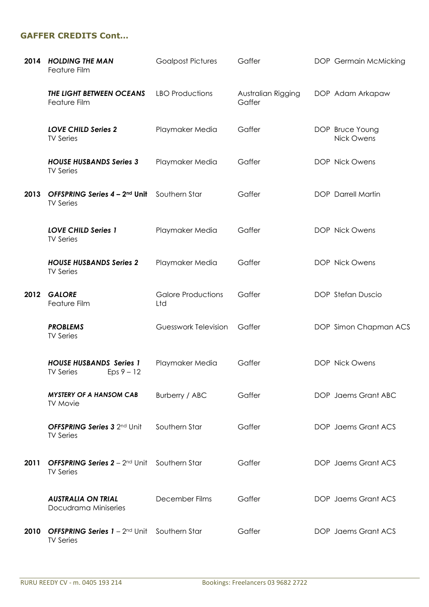# **GAFFER CREDITS Cont…**

| 2014 | <b>HOLDING THE MAN</b><br>Feature Film                                                 | <b>Goalpost Pictures</b>         | Gaffer                       | DOP Germain McMicking                |
|------|----------------------------------------------------------------------------------------|----------------------------------|------------------------------|--------------------------------------|
|      | THE LIGHT BETWEEN OCEANS<br>Feature Film                                               | <b>LBO Productions</b>           | Australian Rigging<br>Gaffer | DOP Adam Arkapaw                     |
|      | <b>LOVE CHILD Series 2</b><br><b>TV Series</b>                                         | Playmaker Media                  | Gaffer                       | DOP Bruce Young<br><b>Nick Owens</b> |
|      | <b>HOUSE HUSBANDS Series 3</b><br><b>TV Series</b>                                     | Playmaker Media                  | Gaffer                       | DOP Nick Owens                       |
| 2013 | OFFSPRING Series 4 - 2nd Unit<br><b>TV Series</b>                                      | Southern Star                    | Gaffer                       | <b>DOP</b> Darrell Martin            |
|      | <b>LOVE CHILD Series 1</b><br><b>TV Series</b>                                         | Playmaker Media                  | Gaffer                       | DOP Nick Owens                       |
|      | <b>HOUSE HUSBANDS Series 2</b><br><b>TV Series</b>                                     | Playmaker Media                  | Gaffer                       | DOP Nick Owens                       |
| 2012 | <b>GALORE</b><br>Feature Film                                                          | <b>Galore Productions</b><br>Ltd | Gaffer                       | DOP Stefan Duscio                    |
|      | <b>PROBLEMS</b><br><b>TV Series</b>                                                    | Guesswork Television             | Gaffer                       | DOP Simon Chapman ACS                |
|      | <b>HOUSE HUSBANDS Series 1</b><br><b>TV Series</b><br>$Eps 9 - 12$                     | Playmaker Media                  | Gaffer                       | DOP Nick Owens                       |
|      | <b>MYSTERY OF A HANSOM CAB</b><br><b>TV Movie</b>                                      | Burberry / ABC                   | Gaffer                       | DOP Jaems Grant ABC                  |
|      | <b>OFFSPRING Series 3 2nd Unit</b><br><b>TV Series</b>                                 | Southern Star                    | Gaffer                       | DOP Jaems Grant ACS                  |
| 2011 | <b>OFFSPRING Series <math>2 - 2^{nd}</math> Unit Southern Star</b><br><b>TV Series</b> |                                  | Gaffer                       | DOP Jaems Grant ACS                  |
|      | <b>AUSTRALIA ON TRIAL</b><br>Docudrama Miniseries                                      | December Films                   | Gaffer                       | DOP Jaems Grant ACS                  |
| 2010 | <b>OFFSPRING Series <math>1 - 2^{nd}</math> Unit</b> Southern Star<br><b>TV Series</b> |                                  | Gaffer                       | DOP Jaems Grant ACS                  |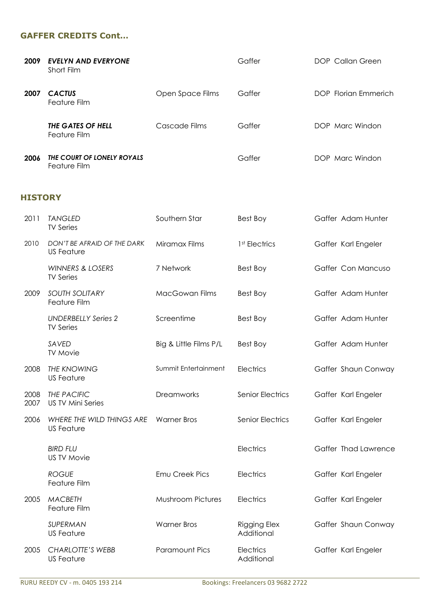## **GAFFER CREDITS Cont…**

| 2009 | <b>EVELYN AND EVERYONE</b><br>Short Film   |                  | Gaffer | DOP Callan Green     |
|------|--------------------------------------------|------------------|--------|----------------------|
| 2007 | <b>CACTUS</b><br>Feature Film              | Open Space Films | Gaffer | DOP Florian Emmerich |
|      | THE GATES OF HELL<br>Feature Film          | Cascade Films    | Gaffer | DOP Marc Windon      |
| 2006 | THE COURT OF LONELY ROYALS<br>Feature Film |                  | Gaffer | DOP Marc Windon      |

# **HISTORY**

| 2011         | <b>TANGLED</b><br><b>TV Series</b>              | Southern Star            | Best Boy                          | Gaffer Adam Hunter   |
|--------------|-------------------------------------------------|--------------------------|-----------------------------------|----------------------|
| 2010         | DON'T BE AFRAID OF THE DARK<br>US Feature       | Miramax Films            | 1 <sup>st</sup> Electrics         | Gaffer Karl Engeler  |
|              | <b>WINNERS &amp; LOSERS</b><br><b>TV Series</b> | 7 Network                | Best Boy                          | Gaffer Con Mancuso   |
| 2009         | <b>SOUTH SOLITARY</b><br>Feature Film           | MacGowan Films           | Best Boy                          | Gaffer Adam Hunter   |
|              | <b>UNDERBELLY Series 2</b><br><b>TV Series</b>  | Screentime               | Best Boy                          | Gaffer Adam Hunter   |
|              | SAVED<br><b>TV Movie</b>                        | Big & Little Films P/L   | Best Boy                          | Gaffer Adam Hunter   |
| 2008         | <b>THE KNOWING</b><br><b>US Feature</b>         | Summit Entertainment     | Electrics                         | Gaffer Shaun Conway  |
| 2008<br>2007 | THE PACIFIC<br><b>US TV Mini Series</b>         | Dreamworks               | <b>Senior Electrics</b>           | Gaffer Karl Engeler  |
| 2006         | WHERE THE WILD THINGS ARE<br><b>US Feature</b>  | <b>Warner Bros</b>       | <b>Senior Electrics</b>           | Gaffer Karl Engeler  |
|              | <b>BIRD FLU</b><br><b>US TV Movie</b>           |                          | Electrics                         | Gaffer Thad Lawrence |
|              | <b>ROGUE</b><br>Feature Film                    | Emu Creek Pics           | Electrics                         | Gaffer Karl Engeler  |
| 2005         | <b>MACBETH</b><br>Feature Film                  | <b>Mushroom Pictures</b> | Electrics                         | Gaffer Karl Engeler  |
|              | SUPERMAN<br><b>US Feature</b>                   | <b>Warner Bros</b>       | <b>Rigging Elex</b><br>Additional | Gaffer Shaun Conway  |
| 2005         | <b>CHARLOTTE'S WEBB</b><br><b>US Feature</b>    | <b>Paramount Pics</b>    | Electrics<br>Additional           | Gaffer Karl Engeler  |